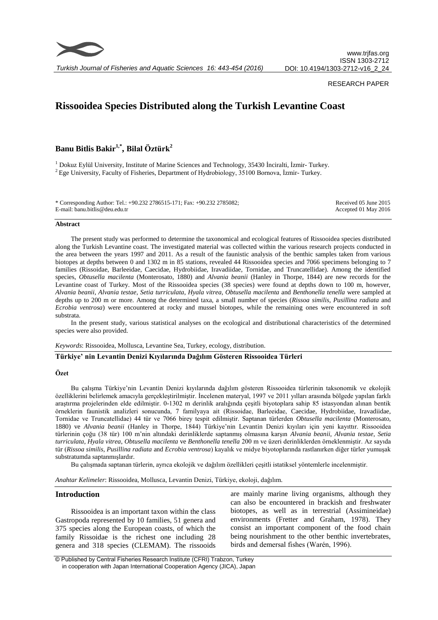

*Turkish Journal of Fisheries and Aquatic Sciences 16: 443-454 (2016)*

#### RESEARCH PAPER

# **Rissooidea Species Distributed along the Turkish Levantine Coast**

## **Banu Bitlis Bakir1,\* , Bilal Öztürk<sup>2</sup>**

<sup>1</sup> Dokuz Eylül University, Institute of Marine Sciences and Technology, 35430 İnciralti, İzmir- Turkey.  $2$  Ege University, Faculty of Fisheries, Department of Hydrobiology, 35100 Bornova, İzmir- Turkey.

| * Corresponding Author: Tel.: +90.232 2786515-171; Fax: +90.232 2785082; | Received 05 June 2015 |
|--------------------------------------------------------------------------|-----------------------|
| E-mail: banu.bitlis@deu.edu.tr                                           | Accepted 01 May 2016  |

#### **Abstract**

The present study was performed to determine the taxonomical and ecological features of Rissooidea species distributed along the Turkish Levantine coast. The investigated material was collected within the various research projects conducted in the area between the years 1997 and 2011. As a result of the faunistic analysis of the benthic samples taken from various biotopes at depths between 0 and 1302 m in 85 stations, revealed 44 Rissooidea species and 7066 specimens belonging to 7 families (Rissoidae, Barleeidae, Caecidae, Hydrobiidae, Iravadiidae, Tornidae, and Truncatellidae). Among the identified species, *Obtusella macilenta* (Monterosato, 1880) and *Alvania beanii* (Hanley in Thorpe, 1844) are new records for the Levantine coast of Turkey. Most of the Rissooidea species (38 species) were found at depths down to 100 m, however, *Alvania beanii*, *Alvania testae*, *Setia turriculata*, *Hyala vitrea*, *Obtusella macilenta* and *Benthonella tenella* were sampled at depths up to 200 m or more. Among the determined taxa, a small number of species (*Rissoa similis, Pusillina radiata* and *Ecrobia ventrosa*) were encountered at rocky and mussel biotopes, while the remaining ones were encountered in soft substrata.

In the present study, various statistical analyses on the ecological and distributional characteristics of the determined species were also provided.

*Keywords*: Rissooidea, Mollusca, Levantine Sea, Turkey, ecology, distribution.

#### **Türkiye' nin Levantin Denizi Kıyılarında Dağılım Gösteren Rissooidea Türleri**

## **Özet**

Bu çalışma Türkiye'nin Levantin Denizi kıyılarında dağılım gösteren Rissooidea türlerinin taksonomik ve ekolojik özelliklerini belirlemek amacıyla gerçekleştirilmiştir. İncelenen materyal, 1997 ve 2011 yılları arasında bölgede yapılan farklı araştırma projelerinden elde edilmiştir. 0-1302 m derinlik aralığında çeşitli biyotoplara sahip 85 istasyondan alınan bentik örneklerin faunistik analizleri sonucunda, 7 familyaya ait (Rissoidae, Barleeidae, Caecidae, Hydrobiidae, Iravadiidae, Tornidae ve Truncatellidae) 44 tür ve 7066 birey tespit edilmiştir. Saptanan türlerden *Obtusella macilenta* (Monterosato, 1880) ve *Alvania beanii* (Hanley in Thorpe, 1844) Türkiye'nin Levantin Denizi kıyıları için yeni kayıttır. Rissooidea türlerinin çoğu (38 tür) 100 m'nin altındaki derinliklerde saptanmış olmasına karşın *Alvania beanii*, *Alvania testae*, *Setia turriculata*, *Hyala vitrea*, *Obtusella macilenta* ve *Benthonella tenella* 200 m ve üzeri derinliklerden örneklenmiştir. Az sayıda tür (*Rissoa similis, Pusillina radiata* and *Ecrobia ventrosa*) kayalık ve midye biyotoplarında rastlanırken diğer türler yumuşak substratumda saptanmışlardır.

Bu çalışmada saptanan türlerin, ayrıca ekolojik ve dağılım özellikleri çeşitli istatiksel yöntemlerle incelenmiştir.

*Anahtar Kelimeler*: Rissooidea, Mollusca, Levantin Denizi, Türkiye, ekoloji, dağılım.

## **Introduction**

Rissooidea is an important taxon within the class Gastropoda represented by 10 families, 51 genera and 375 species along the European coasts, of which the family Rissoidae is the richest one including 28 genera and 318 species (CLEMAM). The rissooids

are mainly marine living organisms, although they can also be encountered in brackish and freshwater biotopes, as well as in terrestrial (Assimineidae) environments (Fretter and Graham, 1978). They consist an important component of the food chain being nourishment to the other benthic invertebrates, birds and demersal fishes (Warén, 1996).

© Published by Central Fisheries Research Institute (CFRI) Trabzon, Turkey in cooperation with Japan International Cooperation Agency (JICA), Japan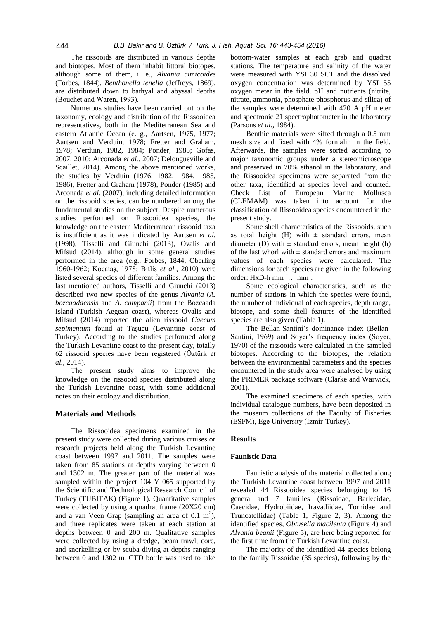The rissooids are distributed in various depths and biotopes. Most of them inhabit littoral biotopes, although some of them, i. e., *Alvania cimicoides* (Forbes, 1844), *Benthonella tenella* (Jeffreys, 1869), are distributed down to bathyal and abyssal depths (Bouchet and Warén, 1993).

Numerous studies have been carried out on the taxonomy, ecology and distribution of the Rissooidea representatives, both in the Mediterranean Sea and eastern Atlantic Ocean (e. g., Aartsen, 1975, 1977; Aartsen and Verduin, 1978; Fretter and Graham, 1978; Verduin, 1982, 1984; Ponder, 1985; Gofas, 2007, 2010; Arconada *et al.*, 2007; Delongueville and Scaillet, 2014). Among the above mentioned works, the studies by Verduin (1976, 1982, 1984, 1985, 1986), Fretter and Graham (1978), Ponder (1985) and Arconada *et al.* (2007), including detailed information on the rissooid species, can be numbered among the fundamental studies on the subject. Despite numerous studies performed on Rissooidea species, the knowledge on the eastern Mediterranean rissooid taxa is insufficient as it was indicated by Aartsen *et al.* (1998), Tisselli and Giunchi (2013), Ovalis and Mifsud (2014), although in some general studies performed in the area (e.g., Forbes, 1844; Oberling 1960-1962; Kocataş, 1978; Bitlis *et al.*, 2010) were listed several species of different families. Among the last mentioned authors, Tisselli and Giunchi (2013) described two new species of the genus *Alvania* (*A. bozcaadaensis* and *A. campanii*) from the Bozcaada Island (Turkish Aegean coast), whereas Ovalis and Mifsud (2014) reported the alien rissooid *Caecum sepimentum* found at Taşucu (Levantine coast of Turkey). According to the studies performed along the Turkish Levantine coast to the present day, totally 62 rissooid species have been registered (Öztürk *et al.*, 2014).

The present study aims to improve the knowledge on the rissooid species distributed along the Turkish Levantine coast, with some additional notes on their ecology and distribution.

## **Materials and Methods**

The Rissooidea specimens examined in the present study were collected during various cruises or research projects held along the Turkish Levantine coast between 1997 and 2011. The samples were taken from 85 stations at depths varying between 0 and 1302 m. The greater part of the material was sampled within the project 104 Y 065 supported by the Scientific and Technological Research Council of Turkey (TUBITAK) (Figure 1). Quantitative samples were collected by using a quadrat frame (20X20 cm) and a van Veen Grap (sampling an area of  $0.1 \text{ m}^2$ ), and three replicates were taken at each station at depths between 0 and 200 m. Qualitative samples were collected by using a dredge, beam trawl, core, and snorkelling or by scuba diving at depths ranging between 0 and 1302 m. CTD bottle was used to take

bottom-water samples at each grab and quadrat stations. The temperature and salinity of the water were measured with YSI 30 SCT and the dissolved oxygen concentration was determined by YSI 55 oxygen meter in the field. pH and nutrients (nitrite, nitrate, ammonia, phosphate phosphorus and silica) of the samples were determined with 420 A pH meter and spectronic 21 spectrophotometer in the laboratory (Parsons *et al.*, 1984).

Benthic materials were sifted through a 0.5 mm mesh size and fixed with 4% formalin in the field. Afterwards, the samples were sorted according to major taxonomic groups under a stereomicroscope and preserved in 70% ethanol in the laboratory, and the Rissooidea specimens were separated from the other taxa, identified at species level and counted. Check List of European Marine Mollusca (CLEMAM) was taken into account for the classification of Rissooidea species encountered in the present study.

Some shell characteristics of the Rissooids, such as total height (H) with  $\pm$  standard errors, mean diameter (D) with  $\pm$  standard errors, mean height (h) of the last whorl with  $\pm$  standard errors and maximum values of each species were calculated. The dimensions for each species are given in the following order: HxD-h mm [… mm].

Some ecological characteristics, such as the number of stations in which the species were found, the number of individual of each species, depth range, biotope, and some shell features of the identified species are also given (Table 1).

The Bellan-Santini's dominance index (Bellan-Santini, 1969) and Sover's frequency index (Sover, 1970) of the rissooids were calculated in the sampled biotopes. According to the biotopes, the relation between the environmental parameters and the species encountered in the study area were analysed by using the PRIMER package software (Clarke and Warwick, 2001).

The examined specimens of each species, with individual catalogue numbers, have been deposited in the museum collections of the Faculty of Fisheries (ESFM), Ege University (İzmir-Turkey).

## **Results**

## **Faunistic Data**

Faunistic analysis of the material collected along the Turkish Levantine coast between 1997 and 2011 revealed 44 Rissooidea species belonging to 16 genera and 7 families (Rissoidae, Barleeidae, Caecidae, Hydrobiidae, Iravadiidae, Tornidae and Truncatellidae) (Table 1, Figure 2, 3). Among the identified species, *Obtusella macilenta* (Figure 4) and *Alvania beanii* (Figure 5), are here being reported for the first time from the Turkish Levantine coast.

The majority of the identified 44 species belong to the family Rissoidae (35 species), following by the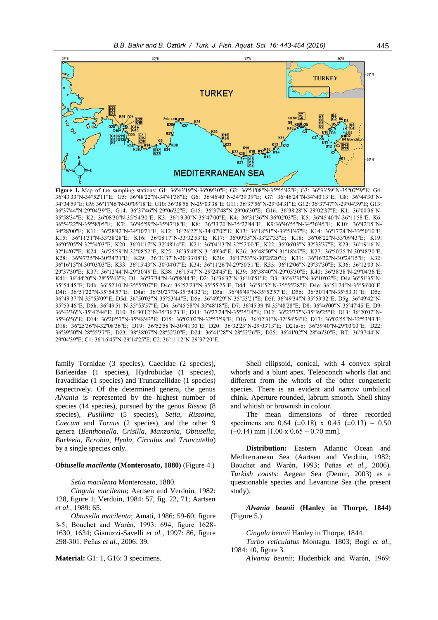

**Figure 1.** Map of the sampling stations: G1: 36º43'19''N-36º09'30''E; G2: 36º51'08''N-35º55'42''E; G3: 36°33'59"N-35°07'59"E; G4: 36°43'33"N-34°52'11"E; G5: 36º48'22"N-34º41'38"E; G6: 36º46'40"N-34º39'39"E; G7: 36°46'24"N-34°40'13"E; G8: 36°44'30"N-34°34'59"E; G9: 36º17'46''N-30º09'18''E; G10: 36º38'56''N-29º03'38''E; G11: 36º37'56''N-29º04'31''E; G12: 36º37'47''N-29º04'39''E; G13: 36º37'44''N-29º04'39''E; G14: 36º37'46''N-29º06'32''E; G15: 36º37'48''N-29º06'30''E; G16: 36º38'28''N-29º02'37''E; K1: 36º00'36''N-35º58'34''E; K2: 36º08'30''N-35º54'30''E; K3: 36º19'30''N-35º47'00''E; K4: 36º31'36''N-36º02'03''E; K5: 36º45'40''N-36º11'58''E; K6: 36º54'22''N-35º58'05''E; K7: 36º45'59''N-35º47'18''E; K8: 36º33'20''N-35º22'44''E; K9:36º46'55''N-34º36'45''E; K10: 36º42'15''N-34º28'00''E; K11: 36º28'42''N-34º10'21''E; K12: 36º26'22''N-34º07'02''E; K13: 36º18'51''N-33º51'47''E; K14: 36º17'24''N-33º50'10''E; K15: 36º11'31''N-33º38'28''E; K16: 36º08'17''N-33º32'53''E; K17: 36º09'35''N-33º27'33''E; K18: 36º08'22''N-33º09'43''E; K19: 36º05'05''N-32º54'03''E; K20: 36º01'17''N-32º48'14''E; K21: 36º04'13''N-32º52'00''E; K22: 36º06'03''N-32º33'37''E; K23: 36º19'16''N-32º14'07''E; K24: 36º25'59''N-32º08'52''E; K25: 36º35'48''N-31º49'34''E; K26: 36º48'50''N-31º18'47''E; K27: 36º50'25''N-30º48'30''E; K28: 36º47'35''N-30º34'31''E; K29: 36º31'37''N-30º33'08''E; K30: 36º17'53''N-30º28'20''E; K31: 36º16'32''N-30º24'15''E; K32: 36º16'15''N-30º03'03''E; K33: 36º15'43''N-30º04'07''E; K34: 36º11'26''N-29º50'51''E; K35: 36º12'06''N-29º37'30''E; K36: 36º12'03''N-29º37'30''E; K37: 36º12'44''N-29º30'49''E; K38: 36º15'47''N-29º24'45''E; K39: 36º38'40''N-29º05'30''E; K40: 36º38'38''N-29º04'36''E; K41: 36º44'20''N-28º55'43''E; D1: 36º37'34''N-36º08'44''E; D2: 36º36'37''N-36º10'51''E; D3: 36º43'31''N-36º10'02''E; D4a:36°51'35"N-35°54'45"E; D4b: 36°52'10"N-35°55'07"E; D4c: 36°52'23"N-35°55'25"E; D4d: 36°51'52"N-35°55'28"E; D4e: 36°51'24"N-35°56'00"E; D4f: 36°51'22"N-35°54'57"E; D4g: 36°50'27"N-35°54'32"E; D5a: 36°49'49"N-35°52'57"E; D5b: 36°50'14"N-35°53'31"E; D5c: 36°49'37"N-35°53'09"E; D5d: 36°50'03"N-35°53'44"E; D5e: 36°49'29"N-35°53'21"E; D5f: 36°49'34"N-35°53'32"E; D5g: 36°49'42"N-35°53'46"E; D5h: 36°49'51"N-35°53'57"E; D6: 36º45'58"N-35º48'18"E; D7: 36º45'39"N-35º48'28"E; D8: 36º46'00"N-35º47'45"E; D9: 36º43'36"N-35º42'44"E; D10: 36º30'12"N-35º36'23"E; D11: 36º27'24"N-35º35'14"E; D12: 36º23'37"N-35º39'25"E; D13: 36º20'07"N-35º46'56"E; D14: 36º20'57"N-35º48'43"E; D15: 36º02'02''N-32º53'59''E; D16: 36º02'31''N-32º54'54''E; D17: 36º02'55''N-32º53'43''E; D18: 36º25'36''N-32º08'36''E; D19: 36º52'58''N-30º41'30''E; D20: 36º32'23''N-29º03'13''E; D21a-b: 36º39'40''N-29º03'03''E; D22: 36º39'50''N-28º55'37''E; D23: 38º38'07''N-28º52'20''E; D24: 36º41'28''N-28º52'26''E; D25: 36º41'02''N-28º46'30''E; BT: 36º37'44''N-29º04'39''E; C1: 36º16'45''N-29º14'25''E; C2: 36º11'12''N-29º37'20''E.

family Tornidae (3 species), Caecidae (2 species), Barleeidae (1 species), Hydrobiidae (1 species), Iravadiidae (1 species) and Truncatellidae (1 species) respectively. Of the determined genera, the genus *Alvania* is represented by the highest number of species (14 species), pursued by the genus *Rissoa* (8 species), *Pusillina* (5 species), *Setia*, *Rissoina*, *Caecum* and *Tornus* (2 species), and the other 9 genera (*Benthonella*, *Crisilla*, *Manzonia*, *Obtusella*, *Barleeia*, *Ecrobia*, *Hyala, Circulus* and *Truncatella*) by a single species only.

#### *Obtusella macilenta* **(Monterosato, 1880)** (Figure 4.)

*Setia macilenta* Monterosato, 1880.

*Cingula macilenta*; Aartsen and Verduin, 1982: 128, figure 1; Verduin, 1984: 57, fig. 22, 71; Aartsen *et al.*, 1989: 65.

*Obtusella macilenta*; Amati, 1986: 59-60, figure 3-5; Bouchet and Warén, 1993: 694, figure 1628- 1630, 1634; Gianuzzi-Savelli *et al.*, 1997: 86, figure 298-301; Peñas *et al.*, 2006: 39.

**Material:** G1: 1, G16: 3 specimens.

Shell ellipsoid, conical, with 4 convex spiral whorls and a blunt apex. Teleoconch whorls flat and different from the whorls of the other congeneric species. There is an evident and narrow umbilical chink. Aperture rounded, labrum smooth. Shell shiny and whitish or brownish in colour.

The mean dimensions of three recorded specimens are 0.64 ( $\pm$ 0.18) x 0.45 ( $\pm$ 0.13) – 0.50  $(\pm 0.14)$  mm  $[1.00 \times 0.65 - 0.70$  mm].

**Distribution:** Eastern Atlantic Ocean and Mediterranean Sea (Aartsen and Verduin, 1982; Bouchet and Warén, 1993; Peñas *et al.*, 2006). *Turkish coasts*: Aegean Sea (Demir, 2003) as a questionable species and Levantine Sea (the present study).

*Alvania beanii* **(Hanley in Thorpe, 1844)**  (Figure 5.)

*Cingula beanii* Hanley in Thorpe, 1844.

*Turbo reticulatus* Montagu, 1803; Bogi *et al.*, 1984: 10, figure 3.

*Alvania beanii*; Hudenbick and Warén, 1969: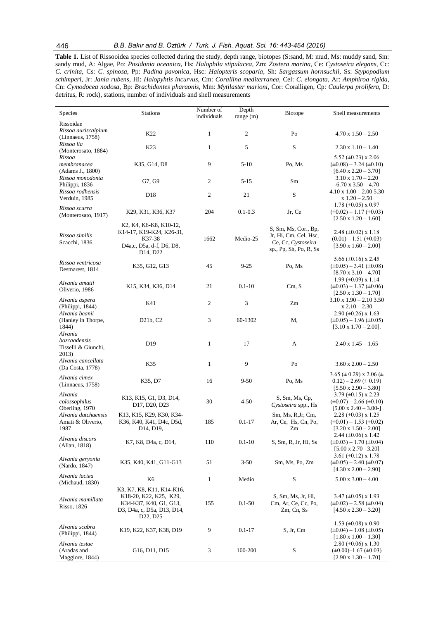**Table 1.** List of Rissooidea species collected during the study, depth range, biotopes (S:sand, M: mud, Ms: muddy sand, Sm: sandy mud, A: Algae, Po: *Posidonia oceanica*, Hs: *Halophila stipulacea,* Zm: *Zostera marina,* Ce: *Cystoseira elegans*, Cc: *C. crinita*, Cs: *C. spinosa*, Pp: *Padina pavonica*, Hsc: *Halopteris scoparia*, Sh: *Sargassum hornsuchii*, Ss: *Stypopodium schimperi,* Jr: *Jania rubens*, Hi: *Halopyhtis incurvus*, Cm: *Corallina mediterranea*, Cel: *C. elongata*, Ar: *Amphiroa rigida*, Cn: *Cymodocea nodosa*, Bp: *Brachidontes pharaonis*, Mm: *Mytilaster marioni*, Cor: Coralligen, Cp: *Caulerpa prolifera*, D: detritus, R: rock), stations, number of individuals and shell measurements

| Species                                              | <b>Stations</b>                                                                                                                                                                                             | Number of<br>individuals | Depth<br>range (m) | Biotope                                                                                       | Shell measurements                                                                                   |
|------------------------------------------------------|-------------------------------------------------------------------------------------------------------------------------------------------------------------------------------------------------------------|--------------------------|--------------------|-----------------------------------------------------------------------------------------------|------------------------------------------------------------------------------------------------------|
| Rissoidae<br>Rissoa auriscalpium<br>(Linnaeus, 1758) | K22                                                                                                                                                                                                         | $\mathbf{1}$             | $\sqrt{2}$         | Po                                                                                            | $4.70 \times 1.50 - 2.50$                                                                            |
| Rissoa lia<br>(Monterosato, 1884)                    | K23                                                                                                                                                                                                         | $\mathbf{1}$             | 5                  | S                                                                                             | $2.30 \times 1.10 - 1.40$                                                                            |
| Rissoa<br>membranacea<br>(Adams J., 1800)            | K35, G14, D8                                                                                                                                                                                                | 9                        | $5-10$             | Po, Ms                                                                                        | 5.52 ( $\pm$ 0.23) x 2.06<br>$(\pm 0.08) - 3.24 (\pm 0.10)$<br>$[6.40 \times 2.20 - 3.70]$           |
| Rissoa monodonta<br>Philippi, 1836                   | G7, G9                                                                                                                                                                                                      | $\mathfrak{2}$           | $5 - 15$           | Sm                                                                                            | $3.10 \times 1.70 - 2.20$<br>$-6.70 \times 3.50 - 4.70$                                              |
| Rissoa rodhensis<br>Verduin, 1985                    | D18                                                                                                                                                                                                         | $\boldsymbol{2}$         | 21                 | S                                                                                             | $4.10 \times 1.00 - 2.00 \times 5.30$<br>$x 1.20 - 2.50$                                             |
| Rissoa scurra<br>(Monterosato, 1917)                 | K29, K31, K36, K37                                                                                                                                                                                          | 204                      | $0.1 - 0.3$        | Jr, Ce                                                                                        | $1.78 \ (\pm 0.05) \times 0.97$<br>$(\pm 0.02) - 1.17 (\pm 0.03)$<br>$[2.50 \times 1.20 - 1.60]$     |
| Rissoa similis<br>Scacchi, 1836                      | K <sub>2</sub> , K <sub>4</sub> , K <sub>6</sub> -K <sub>8</sub> , K <sub>10</sub> -1 <sub>2</sub> ,<br>K14-17, K19-K24, K26-31,<br>K37-38<br>D4a,c, D5a, d-f, D6, D8,<br>D <sub>14</sub> , D <sub>22</sub> | 1662                     | Medio-25           | S, Sm, Ms, Cor., Bp,<br>Jr, Hi, Cm, Cel, Hsc,<br>Ce, Cc, Cystoseira<br>sp., Pp, Sh, Po, R, Ss | 2.48 $(\pm 0.02)$ x 1.18<br>$(0.01) - 1.51 \ (\pm 0.03)$<br>$[3.90 \times 1.60 - 2.00]$              |
| Rissoa ventricosa<br>Desmarest, 1814                 | K35, G12, G13                                                                                                                                                                                               | 45                       | $9 - 25$           | Po, Ms                                                                                        | 5.66 ( $\pm$ 0.16) x 2.45<br>$(\pm 0.05) - 3.41 (\pm 0.08)$<br>$[8.70 \times 3.10 - 4.70]$           |
| Alvania amatii<br>Oliverio, 1986                     | K15, K34, K36, D14                                                                                                                                                                                          | 21                       | $0.1 - 10$         | Cm, S                                                                                         | $1.99 \ (\pm 0.09) \times 1.14$<br>$(\pm 0.03) - 1.37 (\pm 0.06)$<br>$[2.50 \times 1.30 - 1.70]$     |
| Alvania aspera<br>(Philippi, 1844)<br>Alvania beanii | K41                                                                                                                                                                                                         | $\boldsymbol{2}$         | 3                  | Zm                                                                                            | 3.10 x 1.90 – 2.10 3.50<br>$x 2.10 - 2.30$<br>$2.90 \ (\pm 0.26) \times 1.63$                        |
| (Hanley in Thorpe,<br>1844)<br>Alvania               | D <sub>2</sub> 1b, C <sub>2</sub>                                                                                                                                                                           | 3                        | 60-1302            | M,                                                                                            | $(\pm 0.05) - 1.96 (\pm 0.05)$<br>$[3.10 \times 1.70 - 2.00].$                                       |
| bozcaadensis<br>Tisselli & Giunchi,<br>2013)         | D19                                                                                                                                                                                                         | $\mathbf{1}$             | 17                 | A                                                                                             | $2.40 \times 1.45 - 1.65$                                                                            |
| Alvania cancellata<br>(Da Costa, 1778)               | K35                                                                                                                                                                                                         | $\mathbf{1}$             | 9                  | Po                                                                                            | $3.60 \times 2.00 - 2.50$                                                                            |
| Alvania cimex<br>(Linnaeus, 1758)                    | K35, D7                                                                                                                                                                                                     | 16                       | $9 - 50$           | Po, Ms                                                                                        | 3.65 ( $\pm$ 0.29) x 2.06 ( $\pm$ )<br>$0.12$ ) – 2.69 ( $\pm$ 0.19)<br>$[5.50 \times 2.90 - 3.80]$  |
| Alvania<br>colossophilus<br>Oberling, 1970           | K13, K15, G1, D3, D14,<br>D <sub>17</sub> , D <sub>20</sub> , D <sub>23</sub>                                                                                                                               | 30                       | $4 - 50$           | S, Sm, Ms, Cp,<br>Cystoseira spp., Hs                                                         | 3.79 $(\pm 0.15)$ x 2.23<br>$(\pm 0.07) - 2.66 (\pm 0.10)$<br>$[5.00 \times 2.40 - 3.00 -]$          |
| Alvania datchaensis<br>Amati & Oliverio,<br>1987     | K13, K15, K29, K30, K34-<br>K36, K40, K41, D4c, D5d,<br>D <sub>14</sub> , D <sub>19</sub> ,                                                                                                                 | 185                      | $0.1 - 17$         | Sm, Ms, R, Jr, Cm,<br>Ar, Ce, Hs, Cn, Po,<br>Zm                                               | $2.28 \ (\pm 0.03) \times 1.25$<br>$(\pm 0.01) - 1.53$ ( $\pm 0.02$ )<br>$[3.20 \times 1.50 - 2.00]$ |
| Alvania discors<br>(Allan, 1818)                     | K7, K8, D4a, c, D14,                                                                                                                                                                                        | 110                      | $0.1 - 10$         | S, Sm, R, Jr, Hi, Ss                                                                          | 2.44 ( $\pm 0.06$ ) x 1.42<br>$(\pm 0.03) - 1.70$ ( $\pm 0.04$ )<br>$[5.00 \times 2.70 - 3.20]$      |
| Alvania geryonia<br>(Nardo, 1847)                    | K35, K40, K41, G11-G13                                                                                                                                                                                      | 51                       | $3-50$             | Sm, Ms, Po, Zm                                                                                | 3.61 $(\pm 0.12)$ x 1.78<br>$(\pm 0.05) - 2.40 (\pm 0.07)$<br>$[4.30 \times 2.00 - 2.90]$            |
| Alvania lactea<br>(Michaud, 1830)                    | K6                                                                                                                                                                                                          | $\mathbf{1}$             | Medio              | ${\bf S}$                                                                                     | $5.00 \times 3.00 - 4.00$                                                                            |
| Alvania mamillata<br>Risso, 1826                     | K3, K7, K8, K11, K14-K16,<br>K18-20, K22, K25, K29,<br>K34-K37, K40, G1, G13,<br>D3, D4a, c, D5a, D13, D14,<br>D <sub>22</sub> , D <sub>25</sub>                                                            | 155                      | $0.1 - 50$         | S, Sm, Ms, Jr, Hi,<br>Cm, Ar, Ce, Cc, Po,<br>Zm, Cn, Ss                                       | $3.47 \ (\pm 0.05) \times 1.93$<br>$(\pm 0.02) - 2.58 (\pm 0.04)$<br>$[4.50 \times 2.30 - 3.20]$     |
| Alvania scabra<br>(Philippi, 1844)                   | K19, K22, K37, K38, D19                                                                                                                                                                                     | 9                        | $0.1 - 17$         | S, Jr, Cm                                                                                     | 1.53 ( $\pm$ 0.08) x 0.90<br>$(\pm 0.04) - 1.08 (\pm 0.05)$<br>$[1.80 \times 1.00 - 1.30]$           |
| Alvania testae<br>(Aradas and<br>Maggiore, 1844)     | G <sub>16</sub> , D <sub>11</sub> , D <sub>15</sub>                                                                                                                                                         | 3                        | 100-200            | ${\bf S}$                                                                                     | $2.80 \ (\pm 0.06) \times 1.30$<br>$(\pm 0.00) - 1.67 (\pm 0.03)$<br>$[2.90 \times 1.30 - 1.70]$     |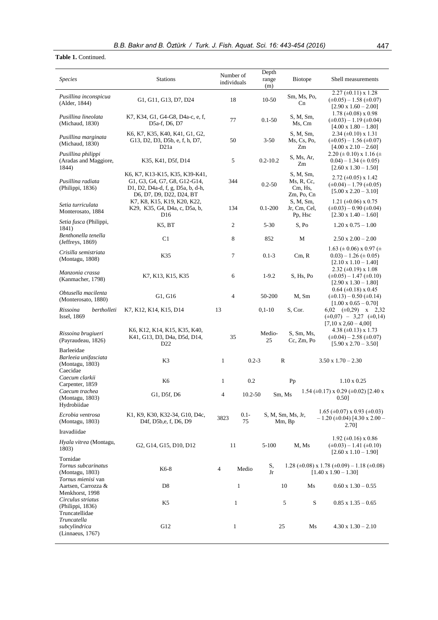## **Table 1.** Continued.

| <b>Species</b>                                                    | <b>Stations</b>                                                                                                                 | Number of<br>individuals | Depth<br>range<br>(m) | Biotope                                          | Shell measurements                                                                                                              |
|-------------------------------------------------------------------|---------------------------------------------------------------------------------------------------------------------------------|--------------------------|-----------------------|--------------------------------------------------|---------------------------------------------------------------------------------------------------------------------------------|
| Pusillina inconspicua<br>(Alder, 1844)                            | G1, G11, G13, D7, D24                                                                                                           | 18                       | 10-50                 | Sm, Ms, Po,<br>Cn                                | $2.27 \ (\pm 0.11) \times 1.28$<br>$(\pm 0.05) - 1.58 (\pm 0.07)$<br>$[2.90 \times 1.60 - 2.00]$                                |
| Pusillina lineolata<br>(Michaud, 1830)                            | K7, K34, G1, G4-G8, D4a-c, e, f,<br>D5a-f, D6, D7                                                                               | 77                       | $0.1 - 50$            | S, M, Sm,<br>Ms, Cm                              | $1.78 \ (\pm 0.08) \times 0.98$<br>$(\pm 0.03) - 1.19 (\pm 0.04)$<br>$[4.00 \times 1.80 - 1.80]$                                |
| Pusillina marginata<br>(Michaud, 1830)                            | K6, K7, K35, K40, K41, G1, G2,<br>G13, D2, D3, D5b, e, f, h, D7,<br>D21a                                                        | 50                       | $3-50$                | S, M, Sm,<br>Ms, Cs, Po,<br>Zm                   | $2.34 \ (\pm 0.10) \times 1.31$<br>$(\pm 0.05) - 1.56 (\pm 0.07)$<br>$[4.00 \times 2.10 - 2.60]$                                |
| Pusillina philippi<br>(Aradas and Maggiore,<br>1844)              | K35, K41, D5f, D14                                                                                                              | 5                        | $0.2 - 10.2$          | S, Ms, Ar,<br>Zm                                 | 2.20 ( $\pm$ 0.10) x 1.16 ( $\pm$<br>$(0.04) - 1.34 \ (\pm 0.05)$<br>$[2.60 \times 1.30 - 1.50]$                                |
| Pusillina radiata<br>(Philippi, 1836)                             | K6, K7, K13-K15, K35, K39-K41,<br>G1, G3, G4, G7, G8, G12-G14,<br>D1, D2, D4a-d, f, g, D5a, b, d-h,<br>D6, D7, D9, D22, D24, BT | 344                      | $0.2 - 50$            | S, M, Sm,<br>Ms, R, Cc,<br>Cm, Hs,<br>Zm, Po, Cn | $2.72 \ (\pm 0.05) \times 1.42$<br>$(\pm 0.04) - 1.79$ ( $\pm 0.05$ )<br>$[5.00 \times 2.20 - 3.10]$                            |
| Setia turriculata<br>Monterosato, 1884                            | K7, K8, K15, K19, K20, K22,<br>K29, K35, G4, D4a, c, D5a, b,<br>D <sub>16</sub>                                                 | 134                      | $0.1 - 200$           | S, M, Sm,<br>Jr, Cm, Cel,<br>Pp, Hsc             | 1.21 ( $\pm 0.06$ ) x 0.75<br>$(\pm 0.03) - 0.90 (\pm 0.04)$<br>$[2.30 \times 1.40 - 1.60]$                                     |
| Setia fusca (Philippi,<br>1841)                                   | K5, BT                                                                                                                          | 2                        | $5 - 30$              | S.Po                                             | $1.20 \times 0.75 - 1.00$                                                                                                       |
| Benthonella tenella<br>(Jeffreys, 1869)                           | C <sub>1</sub>                                                                                                                  | 8                        | 852                   | М                                                | $2.50 \times 2.00 - 2.00$                                                                                                       |
| Crisilla semistriata<br>(Montagu, 1808)                           | K35                                                                                                                             | $\tau$                   | $0.1 - 3$             | Cm, R                                            | 1.63 ( $\pm$ 0.06) x 0.97 ( $\pm$ )<br>$(0.03) - 1.26 \ (\pm 0.05)$<br>$[2.10 \times 1.10 - 1.40]$<br>2.32 ( $\pm$ 0.19) x 1.08 |
| Manzonia crassa<br>(Kanmacher, 1798)                              | K7, K13, K15, K35                                                                                                               | 6                        | $1-9.2$               | S, Hs, Po                                        | $(\pm 0.05) - 1.47 (\pm 0.10)$<br>$[2.90 \times 1.30 - 1.80]$                                                                   |
| Obtusella macilenta<br>(Monterosato, 1880)                        | G1, G16                                                                                                                         | $\overline{4}$           | 50-200                | M, Sm                                            | $0.64$ (±0.18) x 0.45<br>$(\pm 0.13) - 0.50 (\pm 0.14)$<br>$[1.00 \times 0.65 - 0.70]$                                          |
| Rissoina<br>bertholleti<br><b>Issel</b> , 1869                    | K7, K12, K14, K15, D14                                                                                                          | 13                       | $0,1-10$              | S, Cor.                                          | 6,02 $(\pm 0.29)$ x 2,32<br>$(\pm 0.07) - 3.27$ $(\pm 0.14)$<br>$[7,10 \times 2,60 - 4,00]$                                     |
| Rissoina brugiueri<br>(Payraudeau, 1826)                          | K6, K12, K14, K15, K35, K40,<br>K41, G13, D3, D4a, D5d, D14,<br>D <sub>22</sub>                                                 | 35                       | Medio-<br>25          | S, Sm, Ms,<br>Cc, Zm, Po                         | 4.38 $(\pm 0.13)$ x 1.73<br>$(\pm 0.04) - 2.58$ ( $\pm 0.07$ )<br>$[5.90 \times 2.70 - 3.50]$                                   |
| Barleeidae<br>Barleeia unifasciata<br>(Montagu, 1803)<br>Caecidae | K3                                                                                                                              | $\mathbf{1}$             | $0.2 - 3$             | $\mathbb{R}$                                     | $3.50 \times 1.70 - 2.30$                                                                                                       |
| Caecum clarkii<br>Carpenter, 1859                                 | K <sub>6</sub>                                                                                                                  | $\mathbf{1}$             | 0.2                   | Pp                                               | $1.10 \times 0.25$                                                                                                              |
| Caecum trachea<br>(Montagu, 1803)<br>Hydrobiidae                  | G1, D5f, D6                                                                                                                     | 4                        | $10.2 - 50$<br>Sm, Ms |                                                  | 1.54 ( $\pm$ 0.17) x 0.29 ( $\pm$ 0.02) [2.40 x<br>0.50]                                                                        |
| Ecrobia ventrosa<br>(Montagu, 1803)                               | K1, K9, K30, K32-34, G10, D4c,<br>D <sub>4f</sub> , D <sub>5b,e</sub> , f, D <sub>6</sub> , D <sub>9</sub>                      | $0.1 -$<br>3823<br>75    |                       | S, M, Sm, Ms, Jr,<br>Mm, Bp                      | $1.65 \ (\pm 0.07) \times 0.93 \ (\pm 0.03)$<br>$-1.20$ (±0.04) [4.30 x 2.00 $-$<br>2.70]                                       |
| Iravadiidae                                                       |                                                                                                                                 |                          |                       |                                                  | 1.92 ( $\pm$ 0.16) x 0.86                                                                                                       |
| Hyala vitrea (Montagu,<br>1803)                                   | G <sub>2</sub> , G <sub>14</sub> , G <sub>15</sub> , D <sub>10</sub> , D <sub>12</sub>                                          | 11                       | $5 - 100$             | M, Ms                                            | $(\pm 0.03) - 1.41 (\pm 0.10)$<br>$[2.60 \times 1.10 - 1.90]$                                                                   |
| Tornidae<br>Tornus subcarinatus<br>(Montagu, 1803)                | K6-8                                                                                                                            | $\overline{4}$<br>Medio  | S,<br>Jr              |                                                  | 1.28 ( $\pm$ 0.08) x 1.78 ( $\pm$ 0.09) – 1.18 ( $\pm$ 0.08)<br>$[1.40 \times 1.90 - 1.30]$                                     |
| Tornus mienisi van<br>Aartsen, Carrozza &<br>Menkhorst, 1998      | D <sub>8</sub>                                                                                                                  | $\mathbf{1}$             |                       | 10<br>Ms                                         | $0.60 \times 1.30 - 0.55$                                                                                                       |
| Circulus striatus<br>(Philippi, 1836)<br>Truncatellidae           | K5                                                                                                                              | $\mathbf{1}$             |                       | 5<br>${\bf S}$                                   | $0.85 \times 1.35 - 0.65$                                                                                                       |
| Truncatella<br>subcylindrica<br>(Linnaeus, 1767)                  | G12                                                                                                                             | $\mathbf{1}$             | 25                    | Ms                                               | $4.30 \times 1.30 - 2.10$                                                                                                       |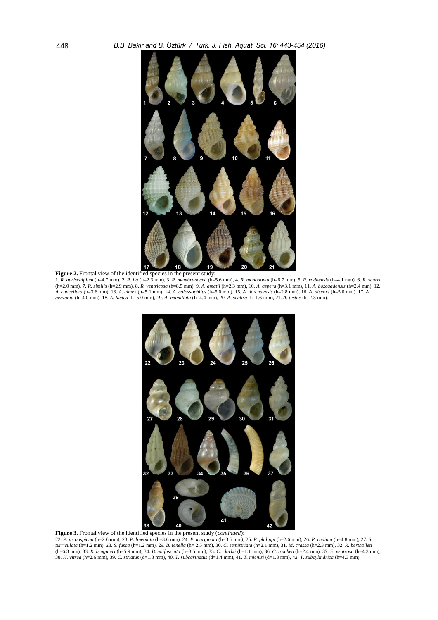

Figure 2. Frontal view of the identified species in the present study:

1. *R. auriscalpium* (h=4.7 mm), 2. *R. lia* (h=2.3 mm), 3. *R. membranacea* (h=5.6 mm), 4. *R. monodonta* (h=6.7 mm), 5. *R. rodhensis* (h=4.1 mm), 6. *R. scurra* (h=2.0 mm), 7. *R. similis* (h=2.9 mm), 8. *R. ventricosa* (h=8.5 mm), 9. *A. amatii* (h=2.3 mm), 10. *A. aspera* (h=3.1 mm), 11. *A. bozcaadensis* (h=2.4 mm), 12. *A. cancellata* (h=3.6 mm), 13. *A. cimex* (h=5.1 mm), 14. *A. colossophilus* (h=5.0 mm), 15. *A. datchaensis* (h=2.8 mm), 16. *A. discors* (h=5.0 mm), 17. *A. geryonia* (h=4.0 mm), 18. *A. lactea* (h=5.0 mm), 19. *A. mamillata* (h=4.4 mm), 20. *A. scabra* (h=1.6 mm), 21. *A. testae* (h=2.3 mm).



**Figure 3.** Frontal view of the identified species in the present study (*continued*): 22. *P. inconspicua* (h=2.6 mm), 23. *P. lineolata* (h=3.6 mm), 24. *P. marginata* (h=3.5 mm), 25. *P. philippi* (h=2.6 mm), 26. *P. radiata* (h=4.8 mm), 27. *S. turriculata* (h=1.2 mm), 28. *S. fusca* (h=1.2 mm), 29. *B. tenella* (h= 2.5 mm), 30. *C. semistriata* (h=2.1 mm), 31. *M. crassa* (h=2.3 mm), 32. *R. bertholleti* (h=6.3 mm), 33. *R. bruguieri* (h=5.9 mm), 34. *B. unifasciata* (h=3.5 mm), 35. *C. clarkii* (h=1.1 mm), 36. *C. trachea* (h=2.4 mm), 37. *E. ventrosa* (h=4.3 mm), 38. *H. vitrea* (h=2.6 mm), 39. *C. striatus* (d=1.3 mm), 40. *T. subcarinatus* (d=1.4 mm), 41. *T. mienisi* (d=1.3 mm), 42. *T. subcylindrica* (h=4.3 mm).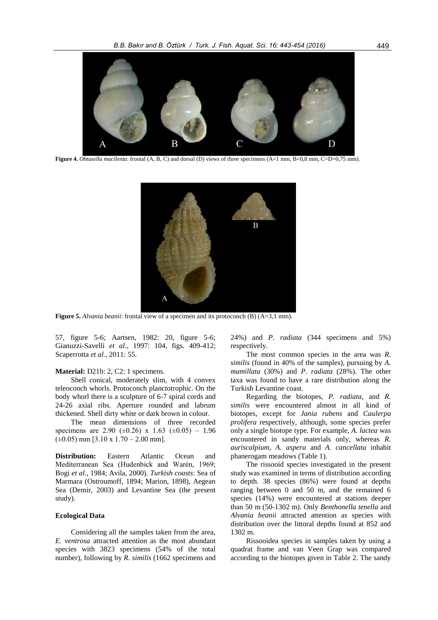

**Figure 4.** *Obtusella macilenta*: frontal (A, B, C) and dorsal (D) views of three specimens (A=1 mm, B=0,8 mm, C=D=0,75 mm).



**Figure 5.** *Alvania beanii*: frontal view of a specimen and its protoconch (B) (A=3,1 mm).

57, figure 5-6; Aartsen, 1982: 20, figure 5-6; Gianuzzi-Savelli *et al.*, 1997: 104, figs. 409-412; Scaperrotta *et al.*, 2011: 55.

#### **Material:** D21b: 2, C2: 1 specimens.

Shell conical, moderately slim, with 4 convex teleoconch whorls. Protoconch planctotrophic. On the body whorl there is a sculpture of 6-7 spiral cords and 24-26 axial ribs. Aperture rounded and labrum thickened. Shell dirty white or dark brown in colour.

The mean dimensions of three recorded specimens are 2.90 ( $\pm$ 0.26) x 1.63 ( $\pm$ 0.05) – 1.96  $(\pm 0.05)$  mm [3.10 x 1.70 – 2.00 mm].

**Distribution:** Eastern Atlantic Ocean and Mediterranean Sea (Hudenbick and Warén, 1969; Bogi *et al.*, 1984; Avila, 2000). *Turkish coasts*: Sea of Marmara (Ostroumoff, 1894; Marion, 1898), Aegean Sea (Demir, 2003) and Levantine Sea (the present study).

#### **Ecological Data**

Considering all the samples taken from the area, *E. ventrosa* attracted attention as the most abundant species with 3823 specimens (54% of the total number), following by *R. similis* (1662 specimens and

24%) and *P. radiata* (344 specimens and 5%) respectively.

The most common species in the area was *R. similis* (found in 40% of the samples), pursuing by *A. mamillata* (30%) and *P. radiata* (28%). The other taxa was found to have a rare distribution along the Turkish Levantine coast.

Regarding the biotopes, *P. radiata*, and *R. similis* were encountered almost in all kind of biotopes, except for *Jania rubens* and *Caulerpa prolifera* respectively, although, some species prefer only a single biotope type. For example, *A. lactea* was encountered in sandy materials only, whereas *R. auriscalpium*, *A. aspera* and *A. cancellata* inhabit phanerogam meadows (Table 1).

The rissooid species investigated in the present study was examined in terms of distribution according to depth. 38 species (86%) were found at depths ranging between 0 and 50 m, and the remained 6 species (14%) were encountered at stations deeper than 50 m (50-1302 m). Only *Benthonella tenella* and *Alvania beanii* attracted attention as species with distribution over the littoral depths found at 852 and 1302 m.

Rissooidea species in samples taken by using a quadrat frame and van Veen Grap was compared according to the biotopes given in Table 2. The sandy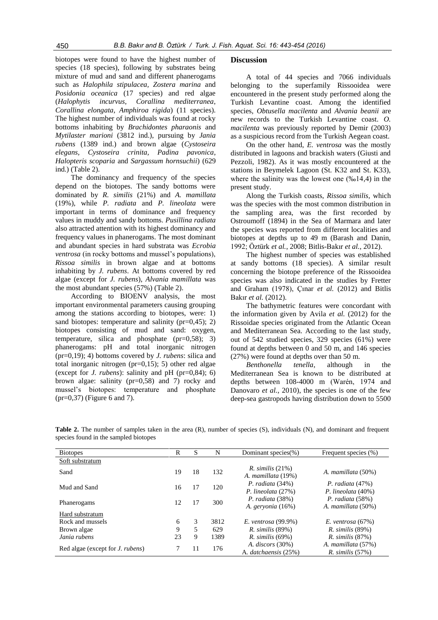biotopes were found to have the highest number of species (18 species), following by substrates being mixture of mud and sand and different phanerogams such as *Halophila stipulacea, Zostera marina* and *Posidonia oceanica* (17 species) and red algae (*Halophytis incurvus*, *Corallina mediterranea*, *Corallina elongata*, *Amphiroa rigida*) (11 species). The highest number of individuals was found at rocky bottoms inhabiting by *Brachidontes pharaonis* and *Mytilaster marioni* (3812 ind.), pursuing by *Jania rubens* (1389 ind.) and brown algae (*Cystoseira elegans, Cystoseira crinita, Padina pavonica*, *Halopteris scoparia* and *Sargassum hornsuchii*) (629 ind.) (Table 2).

The dominancy and frequency of the species depend on the biotopes. The sandy bottoms were dominated by *R. similis* (21%) and *A. mamillata* (19%), while *P. radiata* and *P. lineolata* were important in terms of dominance and frequency values in muddy and sandy bottoms. *Pusillina radiata*  also attracted attention with its highest dominancy and frequency values in phanerogams. The most dominant and abundant species in hard substrata was *Ecrobia ventrosa* (in rocky bottoms and mussel's populations), *Rissoa similis* in brown algae and at bottoms inhabiting by *J. rubens*. At bottoms covered by red algae (except for *J. rubens*), *Alvania mamillata* was the most abundant species (57%) (Table 2).

According to BIOENV analysis, the most important environmental parameters causing grouping among the stations according to biotopes, were: 1) sand biotopes: temperature and salinity ( $pr=0,45$ ); 2) biotopes consisting of mud and sand: oxygen, temperature, silica and phosphate (pr=0,58); 3) phanerogams: pH and total inorganic nitrogen (pr=0,19); 4) bottoms covered by *J. rubens*: silica and total inorganic nitrogen (pr=0,15); 5) other red algae (except for *J. rubens*): salinity and pH (pr=0,84); 6) brown algae: salinity (pr=0,58) and 7) rocky and mussel's biotopes: temperature and phosphate (pr=0,37) (Figure 6 and 7).

#### **Discussion**

A total of 44 species and 7066 individuals belonging to the superfamily Rissooidea were encountered in the present study performed along the Turkish Levantine coast. Among the identified species, *Obtusella macilenta* and *Alvania beanii* are new records to the Turkish Levantine coast. *O. macilenta* was previously reported by Demir (2003) as a suspicious record from the Turkish Aegean coast.

On the other hand, *E. ventrosa* was the mostly distributed in lagoons and brackish waters (Giusti and Pezzoli, 1982). As it was mostly encountered at the stations in Beymelek Lagoon (St. K32 and St. K33), where the salinity was the lowest one (‰14,4) in the present study.

Along the Turkish coasts, *Rissoa similis,* which was the species with the most common distribution in the sampling area, was the first recorded by Ostroumoff (1894) in the Sea of Marmara and later the species was reported from different localities and biotopes at depths up to 49 m (Barash and Danin, 1992; Öztürk *et al.*, 2008; Bitlis-Bakır *et al.*, 2012).

The highest number of species was established at sandy bottoms (18 species). A similar result concerning the biotope preference of the Rissooidea species was also indicated in the studies by Fretter and Graham (1978), Çınar *et al.* (2012) and Bitlis Bakır *et al.* (2012).

The bathymetric features were concordant with the information given by Avila *et al.* (2012) for the Rissoidae species originated from the Atlantic Ocean and Mediterranean Sea. According to the last study, out of 542 studied species, 329 species (61%) were found at depths between 0 and 50 m, and 146 species (27%) were found at depths over than 50 m.

*Benthonella tenella*, although in the Mediterranean Sea is known to be distributed at depths between 108-4000 m (Warén, 1974 and Danovaro *et al.*, 2010), the species is one of the few deep-sea gastropods having distribution down to 5500

| <b>Biotopes</b>                  | R  | S  | N    | Dominant species(%)                         | Frequent species (%)                        |
|----------------------------------|----|----|------|---------------------------------------------|---------------------------------------------|
| Soft substratum                  |    |    |      |                                             |                                             |
| Sand                             | 19 | 18 | 132  | $R.$ similis $(21\%)$<br>A. mamillata (19%) | A. mamillata (50%)                          |
| Mud and Sand                     | 16 | 17 | 120  | P. radiata $(34%)$<br>P. lineolata $(27%)$  | P. radiata $(47%)$<br>P. lineolata $(40\%)$ |
| Phanerogams                      | 12 | 17 | 300  | P. radiata $(38%)$<br>A. geryonia $(16\%)$  | P. radiata $(58%)$<br>A. mamillata (50%)    |
| Hard substratum                  |    |    |      |                                             |                                             |
| Rock and mussels                 | 6  | 3  | 3812 | E. ventrosa $(99.9\%)$                      | E. ventrosa $(67%)$                         |
| Brown algae                      | 9  | 5  | 629  | $R.$ similis $(89\%)$                       | $R.$ similis $(89\%)$                       |
| Jania rubens                     | 23 | 9  | 1389 | $R.$ similis $(69\%)$                       | $R.$ similis $(87%)$                        |
| Red algae (except for J. rubens) | 7  | 11 | 176  | A. discors (30%)<br>A. datchaensis (25%)    | A. mamillata (57%)<br>$R.$ similis $(57%)$  |

**Table 2.** The number of samples taken in the area (R), number of species (S), individuals (N), and dominant and frequent species found in the sampled biotopes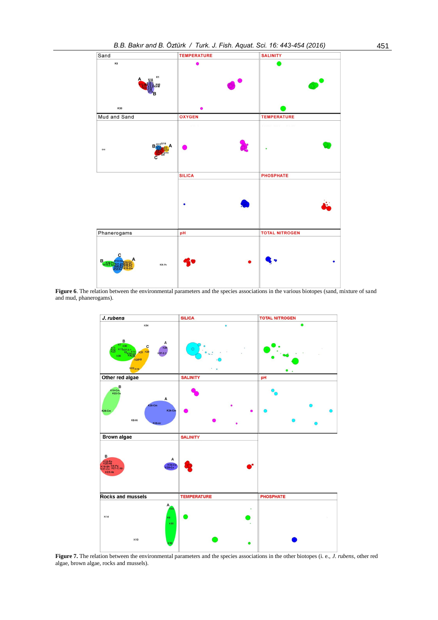

**Figure 6**. The relation between the environmental parameters and the species associations in the various biotopes (sand, mixture of sand and mud, phanerogams).



Figure 7. The relation between the environmental parameters and the species associations in the other biotopes (i. e., *J. rubens*, other red algae, brown algae, rocks and mussels).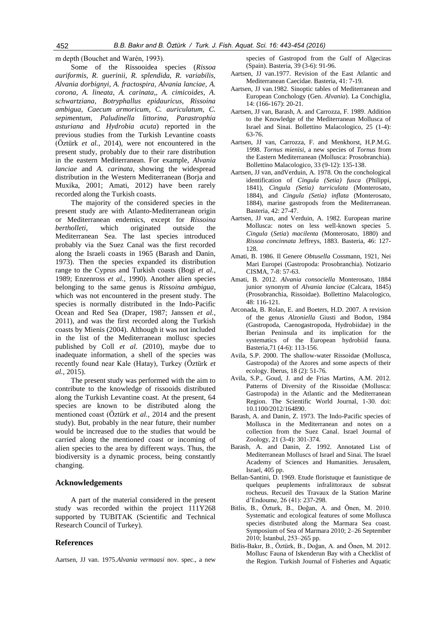m depth (Bouchet and Warén, 1993).

Some of the Rissooidea species (*Rissoa auriformis, R. guerinii, R. splendida, R. variabilis, Alvania dorbignyi*, *A. fractospira, Alvania lanciae, A. corona, A. lineata, A. carinata,, A. cimicoides, A. schwartziana, Botryphallus epidauricus, Rissoina ambigua, Caecum armoricum, C. auriculatum, C. sepimentum, Paludinella littorina, Parastrophia asturiana* and *Hydrobia acuta*) reported in the previous studies from the Turkish Levantine coasts (Öztürk *et al.*, 2014), were not encountered in the present study, probably due to their rare distribution in the eastern Mediterranean. For example, *Alvania lanciae* and *A. carinata*, showing the widespread distribution in the Western Mediterranean (Borja and Muxika, 2001; Amati, 2012) have been rarely recorded along the Turkish coasts.

The majority of the considered species in the present study are with Atlanto-Mediterranean origin or Mediterranean endemics, except for *Rissoina bertholleti*, which originated outside the Mediterranean Sea. The last species introduced probably via the Suez Canal was the first recorded along the Israeli coasts in 1965 (Barash and Danin, 1973). Then the species expanded its distribution range to the Cyprus and Turkish coasts (Bogi *et al.*, 1989; Enzenross *et al.*, 1990). Another alien species belonging to the same genus is *Rissoina ambigua*, which was not encountered in the present study. The species is normally distributed in the Indo-Pacific Ocean and Red Sea (Draper, 1987; Janssen *et al.*, 2011), and was the first recorded along the Turkish coasts by Mienis (2004). Although it was not included in the list of the Mediterranean mollusc species published by Coll *et al.* (2010), maybe due to inadequate information, a shell of the species was recently found near Kale (Hatay), Turkey (Öztürk *et al.*, 2015).

The present study was performed with the aim to contribute to the knowledge of rissooids distributed along the Turkish Levantine coast. At the present, 64 species are known to be distributed along the mentioned coast (Öztürk *et al.*, 2014 and the present study). But, probably in the near future, their number would be increased due to the studies that would be carried along the mentioned coast or incoming of alien species to the area by different ways. Thus, the biodiversity is a dynamic process, being constantly changing.

#### **Acknowledgements**

A part of the material considered in the present study was recorded within the project 111Y268 supported by TUBITAK (Scientific and Technical Research Council of Turkey).

#### **References**

Aartsen, JJ van. 1975.*Alvania vermaasi* nov. spec., a new

species of Gastropod from the Gulf of Algeciras (Spain). Basteria, 39 (3-6): 91-96.

- Aartsen, JJ van.1977. Revision of the East Atlantic and Mediterranean Caecidae. Basteria, 41: 7-19.
- Aartsen, JJ van.1982. Sinoptic tables of Mediterranean and European Conchology (Gen. *Alvania*). La Conchiglia, 14: (166-167): 20-21.
- Aartsen, JJ van, Barash, A. and Carrozza, F. 1989. Addition to the Knowledge of the Mediterranean Mollusca of Israel and Sinai. Bollettino Malacologico, 25 (1-4): 63-76.
- Aartsen, JJ van, Carrozza, F. and Menkhorst, H.P.M.G. 1998. *Tornus mienisi*, a new species of *Tornus* from the Eastern Mediterranean (Mollusca: Prosobranchia). Bollettino Malacologico, 33 (9-12): 135-138.
- Aartsen, JJ van, andVerduin, A. 1978. On the conchological identification of *Cingula (Setia) fusca* (Philippi, 1841), *Cingula (Setia) turriculata* (Monterosato, 1884), and *Cingula (Setia) inflata* (Monterosato, 1884), marine gastropods from the Mediterranean. Basteria, 42: 27-47.
- Aartsen, JJ van, and Verduin, A. 1982. European marine Mollusca: notes on less well-known species 5. *Cingula* (*Setia*) *macilenta* (Monterosato, 1880) and *Rissoa concinnata* Jeffreys, 1883. Basteria, 46: 127- 128.
- Amati, B. 1986. Il Genere *Obtusella* Cossmann, 1921, Nei Mari Europei (Gastropoda: Prosobranchia). Notizario CISMA, 7-8: 57-63.
- Amati, B. 2012. *Alvania consociella* Monterosato, 1884 junior synonym of *Alvania lanciae* (Calcara, 1845) (Prosobranchia, Rissoidae). Bollettino Malacologico, 48: 116-121.
- Arconada, B. Rolan, E. and Boeters, H.D. 2007. A revision of the genus *Alzoniella* Giusti and Bodon, 1984 (Gastropoda, Caenogastropoda, Hydrobiidae) in the Iberian Peninsula and its implication for the systematics of the European hydrobiid fauna. Basteria,71 (4-6): 113-156.
- Avila, S.P. 2000. The shallow-water Rissoidae (Mollusca, Gastropoda) of the Azores and some aspects of their ecology. Iberus, 18 (2): 51-76.
- Avila, S.P., Goud, J. and de Frias Martins, A.M. 2012. Patterns of Diversity of the Rissoidae (Mollusca: Gastropoda) in the Atlantic and the Mediterranean Region. The Scientific World Journal, 1-30. doi: 10.1100/2012/164890.
- Barash, A. and Danin, Z. 1973. The Indo-Pacific species of Mollusca in the Mediterranean and notes on a collection from the Suez Canal. Israel Journal of Zoology, 21 (3-4): 301-374.
- Barash, A. and Danin, Z. 1992. Annotated List of Mediterranean Molluscs of Israel and Sinai. The Israel Academy of Sciences and Humanities. Jerusalem, Israel, 405 pp.
- Bellan-Santini, D. 1969. Etude floristuque et faunistique de quelques peuplements infralittoraux de subsrat rocheus. Recueil des Travaux de la Station Marine d'Endoume, 26 (41): 237-298.
- Bitlis, B., Özturk, B., Doğan, A. and Önen, M. 2010. Systematic and ecological features of some Mollusca species distributed along the Marmara Sea coast. Symposium of Sea of Marmara 2010; 2–26 September 2010; İstanbul, 253–265 pp.
- Bitlis-Bakır, B., Öztürk, B., Doğan, A. and Önen, M. 2012. Mollusc Fauna of Iskenderun Bay with a Checklist of the Region. Turkish Journal of Fisheries and Aquatic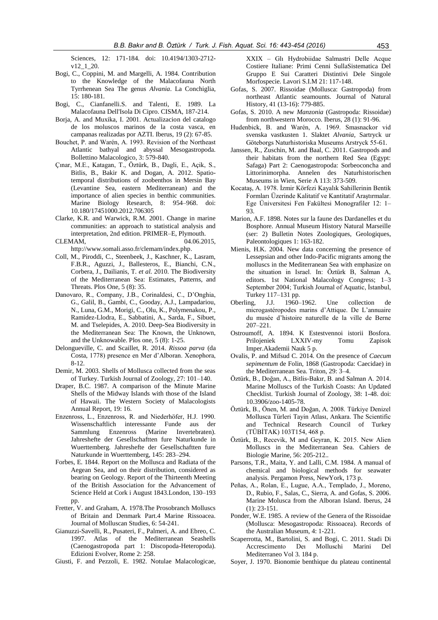Sciences, 12: 171-184. doi: 10.4194/1303-2712 v12\_1\_20.

- Bogi, C., Coppini, M. and Margelli, A. 1984. Contribution to the Knowledge of the Malacofauna North Tyrrhenean Sea The genus *Alvania*. La Conchiglia, 15: 180-181.
- Bogi, C., Cianfanelli.S. and Talenti, E. 1989. La Malacofauna Dell'Isola Di Cipro. CISMA, 187-214.
- Borja, A. and Muxika, I. 2001. Actualizacion del catalogo de los moluscos marinos de la costa vasca, en campanas realizadas por AZTI. Iberus, 19 (2): 67-85.
- Bouchet, P. and Warén, A. 1993. Revision of the Northeast Atlantic bathyal and abyssal Mesogastropoda. Bollettino Malacologico, 3: 579-840.
- Çınar, M.E., Katagan, T., Öztürk, B., Dagli, E., Açik, S., Bitlis, B., Bakir K. and Dogan, A. 2012. Spatiotemporal distributions of zoobenthos in Mersin Bay (Levantine Sea, eastern Mediterranean) and the importance of alien species in benthic communities. Marine Biology Research, 8: 954–968. doi: 10.180/17451000.2012.706305
- Clarke, K.R. and Warwick, R.M. 2001. Change in marine communities: an approach to statistical analysis and interpretation, 2nd edition. PRIMER–E, Plymouth.
- CLEMAM, 04.06.2015, [http://www.somali.asso.fr/clemam/index.php.](http://www.somali.asso.fr/clemam/index.php)
- Coll, M., Piroddi, C., Steenbeek, J., Kaschner, K., Lasram, F.B.R., Aguzzi, J., Ballesteros, E., Bianchi, C.N., Corbera, J., Dailianis, T. *et al.* 2010. The Biodiversity of the Mediterranean Sea: Estimates, Patterns, and Threats. Plos One, 5 (8): 35.
- Danovaro, R., Company, J.B., Corinaldesi, C., D'Onghia, G., Galil, B., Gambi, C., Gooday, A.J., Lampadariou, N., Luna, G.M., Morigi, C., Olu, K., Polymenakou, P., Ramidez-Llodra, E., Sabbatini, A., Sarda, F., Sibuet, M. and Tselepides, A. 2010. Deep-Sea Biodiversity in the Mediterranean Sea: The Known, the Unknown, and the Unknowable. Plos one, 5 (8): 1-25.
- Delongueville, C. and Scaillet, R. 2014. *Rissoa parva* (da Costa, 1778) presence en Mer d'Alboran. Xenophora, 8-12.
- Demir, M. 2003. Shells of Mollusca collected from the seas of Turkey. Turkish Journal of Zoology, 27: 101–140.
- Draper, B.C. 1987. A comparison of the Minute Marine Shells of the Midway Islands with those of the Island of Hawaii. The Western Society of Malacologists Annual Report, 19: 16.
- Enzenross, L., Enzenross, R. and Niederhöfer, H.J. 1990. Wissenschaftlich interessante Funde aus der Sammlung Enzenross (Marine Invertebraten). Jahreshefte der Gesellschaftten fure Naturkunde in Wuerttemberg. Jahreshefte der Gesellschaftten fure Naturkunde in Wuerttemberg, 145: 283–294.
- Forbes, E. 1844. Report on the Mollusca and Radiata of the Aegean Sea, and on their distribution, considered as bearing on Geology. Report of the Thirteenth Meeting of the British Association for the Advancement of Science Held at Cork i August 1843.London, 130–193 pp.
- Fretter, V. and Graham, A. 1978.The Prosobranch Molluscs of Britain and Denmark Part.4 Marine Rissoacea. Journal of Molluscan Studies, 6: 54-241.
- Gianuzzi-Savelli, R., Pusateri, F., Palmeri, A. and Ebreo, C. 1997. Atlas of the Mediterranean Seashells (Caenogastropoda part 1: Discopoda-Heteropoda). Edizioni Evolver, Rome 2: 258.
- Giusti, F. and Pezzoli, E. 1982. Notulae Malacologicae,

XXIX – Glı Hydrobiidae Salmastri Delle Acque Costiere Italiane: Primi Cenni SullaSistematica Del Gruppo E Sui Caratteri Distintivi Dele Singole Morfospecie. Lavori S.I.M 21: 117-148.

- Gofas, S. 2007. Rissoidae (Mollusca: Gastropoda) from northeast Atlantic seamounts. Journal of Natural History, 41 (13-16): 779-885.
- Gofas, S. 2010. A new *Manzonia* (Gastropoda: Rissoidae) from northwestern Morocco. Iberus, 28 (1): 91-96.
- Hudenbick, B. and Warén, A. 1969. Smasnackor vid svenska vastkusten 1. Slaktet *Alvania*, Sartryck ur Göteborgs Naturhistoriska Museums Arstryck 55-61.
- Janssen, R., Zuschin, M. and Baal, C. 2011. Gastropods and their habitats from the northern Red Sea (Egypt: Safaga) Part 2: Caenogastropoda: Sorbeoconcha and Littorinimorpha. Annelen des Naturhistorischen Museums in Wien, Serie A 113: 373-509.
- Kocataş, A. 1978. İzmir Körfezi Kayalık Sahillerinin Bentik Formları Üzerinde Kalitatif ve Kantitatif Araştırmalar. Ege Üniversitesi Fen Fakültesi Monografiler 12: 1– 93.
- Marion, A.F. 1898. Notes sur la faune des Dardanelles et du Bosphore. Annual Museum History Natural Marseille (ser: 2) Bulletin Notes Zoologiques, Geologiques, Paleontologiques 1: 163-182.
- Mienis, H.K. 2004. New data concerning the presence of Lessepsian and other Indo-Pacific migrants among the molluscs in the Mediterranean Sea with emphasize on the situation in Israel. In: Öztürk B, Salman A, editors. 1st National Malacology Congress; 1–3 September 2004; Turkish Journal of Aquatic, İstanbul, Turkey 117–131 pp.
- Oberling, J.J. 1960–1962. Une collection de microgastéropodes marins d'Attique. De L'annuaire du musée d'histoire naturelle de la ville de Berne 207–221.
- Ostroumoff, A. 1894. K Estestvennoi istorii Bosfora. Prilojeniek LXXIV-my Tomu Zapisok Imper.Akademii Nauk 5 p.
- Ovalis, P. and Mifsud C. 2014. On the presence of *Caecum sepimentum* de Folin, 1868 (Gastropoda: Caecidae) in the Mediterranean Sea. Triton, 29: 3–4.
- Öztürk, B., Doğan, A., Bitlis-Bakır, B. and Salman A. 2014. Marine Molluscs of the Turkish Coasts: An Updated Checklist. Turkish Journal of Zoology, 38: 1-48. doi: 10.3906/zoo-1405-78.
- Öztürk, B., Önen, M. and Doğan, A. 2008. Türkiye Denizel Mollusca Türleri Tayin Atlası, Ankara. The Scientific and Technical Research Council of Turkey (TÜBİTAK) 103T154, 468 p.
- Öztürk, B., Recevik, M and Geyran, K. 2015. New Alien Molluscs in the Mediterranean Sea. Cahiers de Biologie Marine, 56: 205-212..
- Parsons, T.R., Maita, Y. and Lalli, C.M. 1984. A manual of chemical and biological methods for seawater analysis. Pergamon Press, NewYork, 173 p.
- Peñas, A., Rolan, E., Lugue, A.A., Templado, J., Moreno, D., Rubio, F., Salas, C., Sierra, A. and Gofas, S. 2006. Marine Molusca from the Alboran Island. Iberus, 24 (1): 23-151.
- Ponder, W.E. 1985. A review of the Genera of the Rissoidae (Mollusca: Mesogastropoda: Rissoacea). Records of the Australian Museum, 4: 1-221.
- Scaperrotta, M., Bartolini, S. and Bogi, C. 2011. Stadi Di Accrescimento Deı Molluschi Marini Del Mediterraneo Vol 3. 184 p.
- Soyer, J. 1970. Bionomie benthique du plateau continental